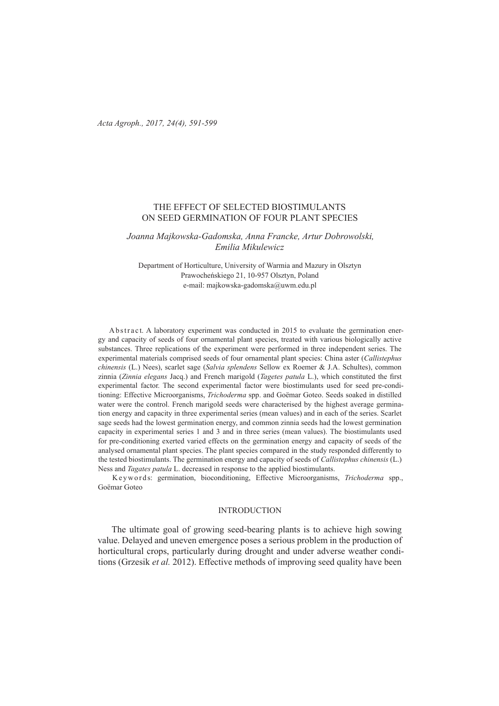*Acta Agroph., 2017, 24(4), 591-599* 

# THE EFFECT OF SELECTED BIOSTIMULANTS ON SEED GERMINATION OF FOUR PLANT SPECIES

*Joanna Majkowska-Gadomska, Anna Francke, Artur Dobrowolski, Emilia Mikulewicz*

Department of Horticulture, University of Warmia and Mazury in Olsztyn Prawocheńskiego 21, 10-957 Olsztyn, Poland e-mail: majkowska-gadomska@uwm.edu.pl

Abstract. A laboratory experiment was conducted in 2015 to evaluate the germination energy and capacity of seeds of four ornamental plant species, treated with various biologically active substances. Three replications of the experiment were performed in three independent series. The experimental materials comprised seeds of four ornamental plant species: China aster (*Callistephus chinensis* (L.) Nees), scarlet sage (*Salvia splendens* Sellow ex Roemer & J.A. Schultes), common zinnia (*Zinnia elegans* Jacq.) and French marigold (*Tagetes patula* L.), which constituted the first experimental factor. The second experimental factor were biostimulants used for seed pre-conditioning: Effective Microorganisms, *Trichoderma* spp. and Goёmar Goteo. Seeds soaked in distilled water were the control. French marigold seeds were characterised by the highest average germination energy and capacity in three experimental series (mean values) and in each of the series. Scarlet sage seeds had the lowest germination energy, and common zinnia seeds had the lowest germination capacity in experimental series 1 and 3 and in three series (mean values). The biostimulants used for pre-conditioning exerted varied effects on the germination energy and capacity of seeds of the analysed ornamental plant species. The plant species compared in the study responded differently to the tested biostimulants. The germination energy and capacity of seeds of *Callistephus chinensis* (L.) Ness and *Tagates patula* L. decreased in response to the applied biostimulants.

K e y w ords: germination, bioconditioning, Effective Microorganisms, *Trichoderma* spp., Goёmar Goteo

## **INTRODUCTION**

The ultimate goal of growing seed-bearing plants is to achieve high sowing value. Delayed and uneven emergence poses a serious problem in the production of horticultural crops, particularly during drought and under adverse weather conditions (Grzesik *et al.* 2012). Effective methods of improving seed quality have been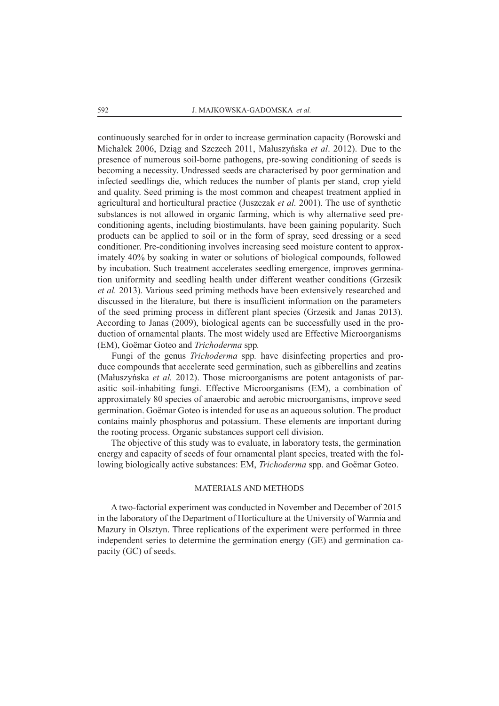continuously searched for in order to increase germination capacity (Borowski and Michałek 2006, Dziąg and Szczech 2011, Małuszyńska *et al*. 2012). Due to the presence of numerous soil-borne pathogens, pre-sowing conditioning of seeds is becoming a necessity. Undressed seeds are characterised by poor germination and infected seedlings die, which reduces the number of plants per stand, crop yield and quality. Seed priming is the most common and cheapest treatment applied in agricultural and horticultural practice (Juszczak *et al.* 2001). The use of synthetic substances is not allowed in organic farming, which is why alternative seed preconditioning agents, including biostimulants, have been gaining popularity. Such products can be applied to soil or in the form of spray, seed dressing or a seed conditioner. Pre-conditioning involves increasing seed moisture content to approximately 40% by soaking in water or solutions of biological compounds, followed by incubation. Such treatment accelerates seedling emergence, improves germination uniformity and seedling health under different weather conditions (Grzesik *et al.* 2013). Various seed priming methods have been extensively researched and discussed in the literature, but there is insufficient information on the parameters of the seed priming process in different plant species (Grzesik and Janas 2013). According to Janas (2009), biological agents can be successfully used in the production of ornamental plants. The most widely used are Effective Microorganisms (EM), Goёmar Goteo and *Trichoderma* spp*.*

Fungi of the genus *Trichoderma* spp*.* have disinfecting properties and produce compounds that accelerate seed germination, such as gibberellins and zeatins (Małuszyńska *et al.* 2012). Those microorganisms are potent antagonists of parasitic soil-inhabiting fungi. Effective Microorganisms (EM), a combination of approximately 80 species of anaerobic and aerobic microorganisms, improve seed germination. Goëmar Goteo is intended for use as an aqueous solution. The product contains mainly phosphorus and potassium. These elements are important during the rooting process. Organic substances support cell division.

The objective of this study was to evaluate, in laboratory tests, the germination energy and capacity of seeds of four ornamental plant species, treated with the following biologically active substances: EM, *Trichoderma* spp. and Goёmar Goteo.

## MATERIALS AND METHODS

A two-factorial experiment was conducted in November and December of 2015 in the laboratory of the Department of Horticulture at the University of Warmia and Mazury in Olsztyn. Three replications of the experiment were performed in three independent series to determine the germination energy (GE) and germination capacity (GC) of seeds.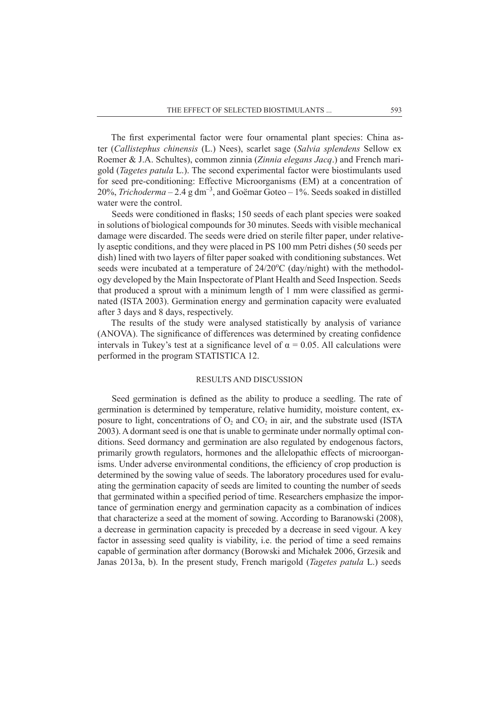The first experimental factor were four ornamental plant species: China aster (*Callistephus chinensis* (L.) Nees), scarlet sage (*Salvia splendens* Sellow ex Roemer & J.A. Schultes), common zinnia (*Zinnia elegans Jacq*.) and French marigold (*Tagetes patula* L.). The second experimental factor were biostimulants used for seed pre-conditioning: Effective Microorganisms (EM) at a concentration of 20%, *Trichoderma* – 2.4 g dm<sup>-3</sup>, and Goëmar Goteo – 1%. Seeds soaked in distilled water were the control.

Seeds were conditioned in flasks; 150 seeds of each plant species were soaked in solutions of biological compounds for 30 minutes. Seeds with visible mechanical damage were discarded. The seeds were dried on sterile filter paper, under relatively aseptic conditions, and they were placed in PS 100 mm Petri dishes (50 seeds per dish) lined with two layers of filter paper soaked with conditioning substances. Wet seeds were incubated at a temperature of 24/20°C (day/night) with the methodology developed by the Main Inspectorate of Plant Health and Seed Inspection. Seeds that produced a sprout with a minimum length of 1 mm were classified as germinated (ISTA 2003). Germination energy and germination capacity were evaluated after 3 days and 8 days, respectively.

The results of the study were analysed statistically by analysis of variance (ANOVA). The significance of differences was determined by creating confidence intervals in Tukey's test at a significance level of  $\alpha = 0.05$ . All calculations were performed in the program STATISTICA 12.

### RESULTS AND DISCUSSION

Seed germination is defined as the ability to produce a seedling. The rate of germination is determined by temperature, relative humidity, moisture content, exposure to light, concentrations of  $O_2$  and  $CO_2$  in air, and the substrate used (ISTA 2003). A dormant seed is one that is unable to germinate under normally optimal conditions. Seed dormancy and germination are also regulated by endogenous factors, primarily growth regulators, hormones and the allelopathic effects of microorganisms. Under adverse environmental conditions, the efficiency of crop production is determined by the sowing value of seeds. The laboratory procedures used for evaluating the germination capacity of seeds are limited to counting the number of seeds that germinated within a specified period of time. Researchers emphasize the importance of germination energy and germination capacity as a combination of indices that characterize a seed at the moment of sowing. According to Baranowski (2008), a decrease in germination capacity is preceded by a decrease in seed vigour. A key factor in assessing seed quality is viability, i.e. the period of time a seed remains capable of germination after dormancy (Borowski and Michałek 2006, Grzesik and Janas 2013a, b). In the present study, French marigold (*Tagetes patula* L.) seeds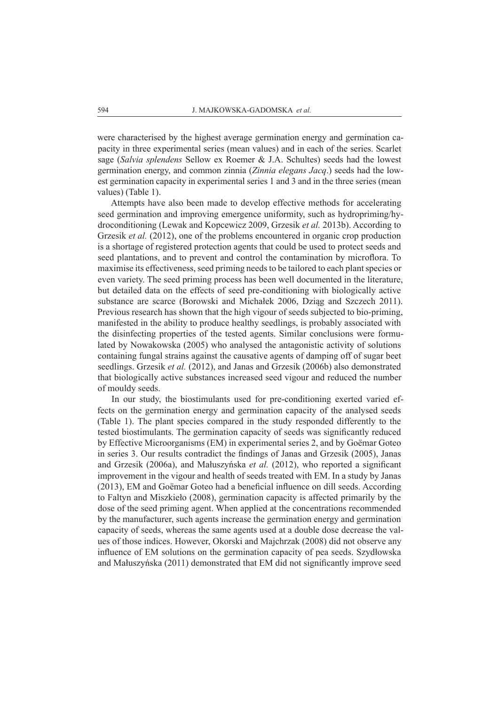were characterised by the highest average germination energy and germination capacity in three experimental series (mean values) and in each of the series. Scarlet sage (*Salvia splendens* Sellow ex Roemer & J.A. Schultes) seeds had the lowest germination energy, and common zinnia (*Zinnia elegans Jacq*.) seeds had the lowest germination capacity in experimental series 1 and 3 and in the three series (mean values) (Table 1).

Attempts have also been made to develop effective methods for accelerating seed germination and improving emergence uniformity, such as hydropriming/hydroconditioning (Lewak and Kopcewicz 2009, Grzesik *et al.* 2013b). According to Grzesik *et al.* (2012), one of the problems encountered in organic crop production is a shortage of registered protection agents that could be used to protect seeds and seed plantations, and to prevent and control the contamination by microflora. To maximise its effectiveness, seed priming needs to be tailored to each plant species or even variety. The seed priming process has been well documented in the literature, but detailed data on the effects of seed pre-conditioning with biologically active substance are scarce (Borowski and Michałek 2006, Dziąg and Szczech 2011). Previous research has shown that the high vigour of seeds subjected to bio-priming, manifested in the ability to produce healthy seedlings, is probably associated with the disinfecting properties of the tested agents. Similar conclusions were formulated by Nowakowska (2005) who analysed the antagonistic activity of solutions containing fungal strains against the causative agents of damping off of sugar beet seedlings. Grzesik *et al.* (2012), and Janas and Grzesik (2006b) also demonstrated that biologically active substances increased seed vigour and reduced the number of mouldy seeds.

In our study, the biostimulants used for pre-conditioning exerted varied effects on the germination energy and germination capacity of the analysed seeds (Table 1). The plant species compared in the study responded differently to the tested biostimulants. The germination capacity of seeds was significantly reduced by Effective Microorganisms (EM) in experimental series 2, and by Goёmar Goteo in series 3. Our results contradict the findings of Janas and Grzesik (2005), Janas and Grzesik (2006a), and Małuszyńska *et al.* (2012), who reported a significant improvement in the vigour and health of seeds treated with EM. In a study by Janas (2013), EM and Goёmar Goteo had a beneficial influence on dill seeds. According to Faltyn and Miszkieło (2008), germination capacity is affected primarily by the dose of the seed priming agent. When applied at the concentrations recommended by the manufacturer, such agents increase the germination energy and germination capacity of seeds, whereas the same agents used at a double dose decrease the values of those indices. However, Okorski and Majchrzak (2008) did not observe any influence of EM solutions on the germination capacity of pea seeds. Szydłowska and Małuszyńska (2011) demonstrated that EM did not significantly improve seed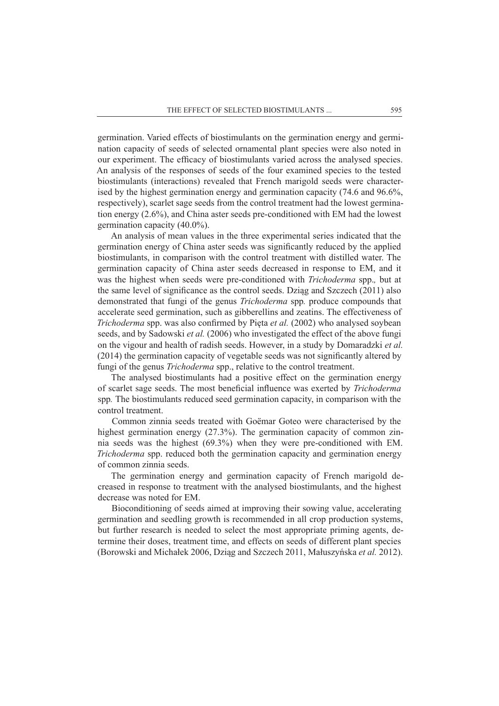germination. Varied effects of biostimulants on the germination energy and germination capacity of seeds of selected ornamental plant species were also noted in our experiment. The efficacy of biostimulants varied across the analysed species. An analysis of the responses of seeds of the four examined species to the tested biostimulants (interactions) revealed that French marigold seeds were characterised by the highest germination energy and germination capacity (74.6 and 96.6%, respectively), scarlet sage seeds from the control treatment had the lowest germination energy (2.6%), and China aster seeds pre-conditioned with EM had the lowest germination capacity (40.0%).

An analysis of mean values in the three experimental series indicated that the germination energy of China aster seeds was significantly reduced by the applied biostimulants, in comparison with the control treatment with distilled water. The germination capacity of China aster seeds decreased in response to EM, and it was the highest when seeds were pre-conditioned with *Trichoderma* spp.*,* but at the same level of significance as the control seeds. Dziąg and Szczech (2011) also demonstrated that fungi of the genus *Trichoderma* spp*.* produce compounds that accelerate seed germination, such as gibberellins and zeatins. The effectiveness of *Trichoderma* spp. was also confirmed by Pięta *et al.* (2002) who analysed soybean seeds, and by Sadowski *et al.* (2006) who investigated the effect of the above fungi on the vigour and health of radish seeds. However, in a study by Domaradzki *et al.* (2014) the germination capacity of vegetable seeds was not significantly altered by fungi of the genus *Trichoderma* spp., relative to the control treatment.

The analysed biostimulants had a positive effect on the germination energy of scarlet sage seeds. The most beneficial influence was exerted by *Trichoderma*  spp*.* The biostimulants reduced seed germination capacity, in comparison with the control treatment.

Common zinnia seeds treated with Goёmar Goteo were characterised by the highest germination energy (27.3%). The germination capacity of common zinnia seeds was the highest (69.3%) when they were pre-conditioned with EM. *Trichoderma* spp. reduced both the germination capacity and germination energy of common zinnia seeds.

The germination energy and germination capacity of French marigold decreased in response to treatment with the analysed biostimulants, and the highest decrease was noted for EM.

Bioconditioning of seeds aimed at improving their sowing value, accelerating germination and seedling growth is recommended in all crop production systems, but further research is needed to select the most appropriate priming agents, determine their doses, treatment time, and effects on seeds of different plant species (Borowski and Michałek 2006, Dziąg and Szczech 2011, Małuszyńska *et al.* 2012).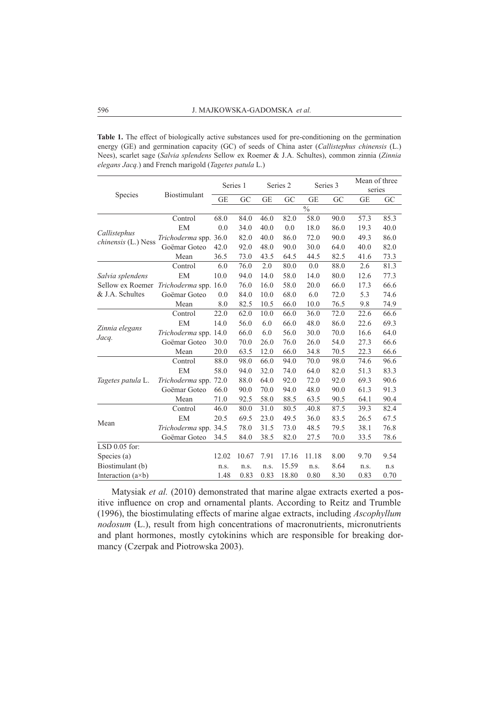**Table 1.** The effect of biologically active substances used for pre-conditioning on the germination energy (GE) and germination capacity (GC) of seeds of China aster (*Callistephus chinensis* (L.) Nees), scarlet sage (*Salvia splendens* Sellow ex Roemer & J.A. Schultes), common zinnia (*Zinnia elegans Jacq.*) and French marigold (*Tagetes patula* L.)

| Species                                                 | Biostimulant          | Series 1  |       | Series <sub>2</sub> |       | Series 3                 |            | Mean of three<br>series |      |
|---------------------------------------------------------|-----------------------|-----------|-------|---------------------|-------|--------------------------|------------|-------------------------|------|
|                                                         |                       | <b>GE</b> | GC    | <b>GE</b>           | GC    | <b>GE</b>                | ${\rm GC}$ | <b>GE</b>               | GC   |
|                                                         |                       |           |       |                     |       | $\overline{\frac{0}{0}}$ |            |                         |      |
| Callistephus<br><i>chinensis</i> (L.) Ness              | Control               | 68.0      | 84.0  | 46.0                | 82.0  | 58.0                     | 90.0       | 57.3                    | 85.3 |
|                                                         | EM                    | 0.0       | 34.0  | 40.0                | 0.0   | 18.0                     | 86.0       | 19.3                    | 40.0 |
|                                                         | Trichoderma spp. 36.0 |           | 82.0  | 40.0                | 86.0  | 72.0                     | 90.0       | 49.3                    | 86.0 |
|                                                         | Goëmar Goteo          | 42.0      | 92.0  | 48.0                | 90.0  | 30.0                     | 64.0       | 40.0                    | 82.0 |
|                                                         | Mean                  | 36.5      | 73.0  | 43.5                | 64.5  | 44.5                     | 82.5       | 41.6                    | 73.3 |
| Salvia splendens<br>Sellow ex Roemer<br>& J.A. Schultes | Control               | 6.0       | 76.0  | 2.0                 | 80.0  | 0.0                      | 88.0       | 2.6                     | 81.3 |
|                                                         | EM                    | 10.0      | 94.0  | 14.0                | 58.0  | 14.0                     | 80.0       | 12.6                    | 77.3 |
|                                                         | Trichoderma spp. 16.0 |           | 76.0  | 16.0                | 58.0  | 20.0                     | 66.0       | 17.3                    | 66.6 |
|                                                         | Goëmar Goteo          | 0.0       | 84.0  | 10.0                | 68.0  | 6.0                      | 72.0       | 5.3                     | 74.6 |
|                                                         | Mean                  | 8.0       | 82.5  | 10.5                | 66.0  | 10.0                     | 76.5       | 9.8                     | 74.9 |
| Zinnia elegans<br>Jacq.                                 | Control               | 22.0      | 62.0  | 10.0                | 66.0  | 36.0                     | 72.0       | 22.6                    | 66.6 |
|                                                         | EM                    | 14.0      | 56.0  | 6.0                 | 66.0  | 48.0                     | 86.0       | 22.6                    | 69.3 |
|                                                         | Trichoderma spp. 14.0 |           | 66.0  | 6.0                 | 56.0  | 30.0                     | 70.0       | 16.6                    | 64.0 |
|                                                         | Goëmar Goteo          | 30.0      | 70.0  | 26.0                | 76.0  | 26.0                     | 54.0       | 27.3                    | 66.6 |
|                                                         | Mean                  | 20.0      | 63.5  | 12.0                | 66.0  | 34.8                     | 70.5       | 22.3                    | 66.6 |
| Tagetes patula L.                                       | Control               | 88.0      | 98.0  | 66.0                | 94.0  | 70.0                     | 98.0       | 74.6                    | 96.6 |
|                                                         | EM                    | 58.0      | 94.0  | 32.0                | 74.0  | 64.0                     | 82.0       | 51.3                    | 83.3 |
|                                                         | Trichoderma spp.      | 72.0      | 88.0  | 64.0                | 92.0  | 72.0                     | 92.0       | 69.3                    | 90.6 |
|                                                         | Goëmar Goteo          | 66.0      | 90.0  | 70.0                | 94.0  | 48.0                     | 90.0       | 61.3                    | 91.3 |
|                                                         | Mean                  | 71.0      | 92.5  | 58.0                | 88.5  | 63.5                     | 90.5       | 64.1                    | 90.4 |
| Mean                                                    | Control               | 46.0      | 80.0  | 31.0                | 80.5  | .40.8                    | 87.5       | 39.3                    | 82.4 |
|                                                         | EM                    | 20.5      | 69.5  | 23.0                | 49.5  | 36.0                     | 83.5       | 26.5                    | 67.5 |
|                                                         | Trichoderma spp. 34.5 |           | 78.0  | 31.5                | 73.0  | 48.5                     | 79.5       | 38.1                    | 76.8 |
|                                                         | Goëmar Goteo          | 34.5      | 84.0  | 38.5                | 82.0  | 27.5                     | 70.0       | 33.5                    | 78.6 |
| LSD 0.05 for:                                           |                       |           |       |                     |       |                          |            |                         |      |
| Species $(a)$                                           |                       | 12.02     | 10.67 | 7.91                | 17.16 | 11.18                    | 8.00       | 9.70                    | 9.54 |
| Biostimulant (b)                                        |                       | n.s.      | n.s.  | n.s.                | 15.59 | n.s.                     | 8.64       | n.s.                    | n.s  |
| Interaction $(a \times b)$                              |                       | 1.48      | 0.83  | 0.83                | 18.80 | 0.80                     | 8.30       | 0.83                    | 0.70 |

Matysiak *et al.* (2010) demonstrated that marine algae extracts exerted a positive influence on crop and ornamental plants. According to Reitz and Trumble (1996), the biostimulating effects of marine algae extracts, including *Ascophyllum nodosum* (L.), result from high concentrations of macronutrients, micronutrients and plant hormones, mostly cytokinins which are responsible for breaking dormancy (Czerpak and Piotrowska 2003).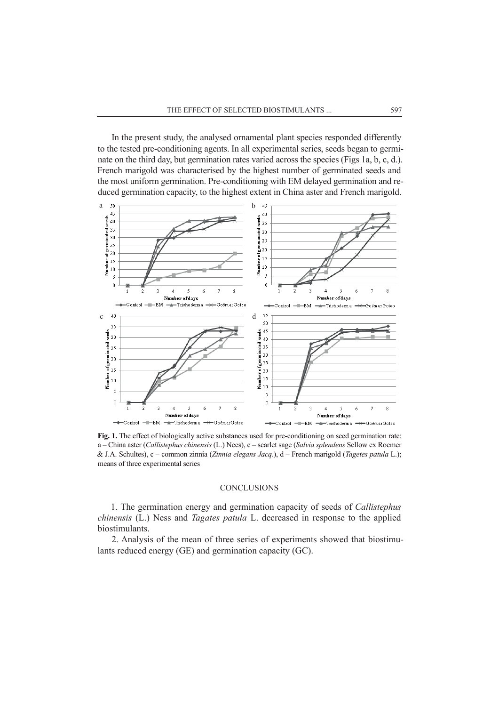In the present study, the analysed ornamental plant species responded differently to the tested pre-conditioning agents. In all experimental series, seeds began to germinate on the third day, but germination rates varied across the species (Figs 1a, b, c, d.). French marigold was characterised by the highest number of germinated seeds and the most uniform germination. Pre-conditioning with EM delayed germination and reduced germination capacity, to the highest extent in China aster and French marigold.



Fig. 1. The effect of biologically active substances used for pre-conditioning on seed germination rate: a – China aster (*Callistephus chinensis* (L.) Nees), c – scarlet sage (*Salvia splendens* Sellow ex Roemer & J.A. Schultes), c – common zinnia (*Zinnia elegans Jacq*.), d – French marigold (*Tagetes patula* L.); means of three experimental series

#### **CONCLUSIONS**

1. The germination energy and germination capacity of seeds of *Callistephus chinensis* (L.) Ness and *Tagates patula* L. decreased in response to the applied biostimulants.

2. Analysis of the mean of three series of experiments showed that biostimulants reduced energy (GE) and germination capacity (GC).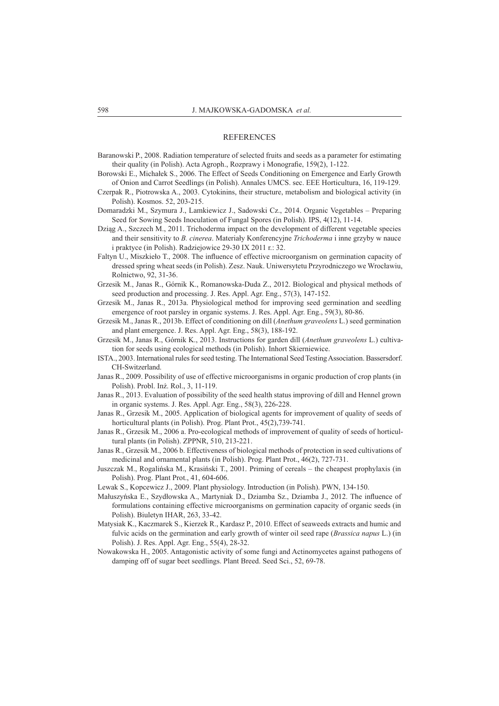#### **REFERENCES**

- Baranowski P., 2008. Radiation temperature of selected fruits and seeds as a parameter for estimating their quality (in Polish). Acta Agroph., Rozprawy i Monografie, 159(2), 1-122.
- Borowski E., Michałek S., 2006. The Effect of Seeds Conditioning on Emergence and Early Growth of Onion and Carrot Seedlings (in Polish). Annales UMCS. sec. EEE Horticultura, 16, 119-129.
- Czerpak R., Piotrowska A., 2003. Cytokinins, their structure, metabolism and biological activity (in Polish). Kosmos. 52, 203-215.
- Domaradzki M., Szymura J., Lamkiewicz J., Sadowski Cz., 2014. Organic Vegetables Preparing Seed for Sowing Seeds Inoculation of Fungal Spores (in Polish). IPS, 4(12), 11-14.
- Dziąg A., Szczech M., 2011. Trichoderma impact on the development of different vegetable species and their sensitivity to *B. cinerea*. Materiały Konferencyjne *Trichoderma* i inne grzyby w nauce i praktyce (in Polish). Radziejowice 29-30 IX 2011 r.: 32.
- Faltyn U., Miszkieło T., 2008. The influence of effective microorganism on germination capacity of dressed spring wheat seeds (in Polish). Zesz. Nauk. Uniwersytetu Przyrodniczego we Wrocławiu, Rolnictwo, 92, 31-36.
- Grzesik M., Janas R., Górnik K., Romanowska-Duda Z., 2012. Biological and physical methods of seed production and processing. J. Res. Appl. Agr. Eng., 57(3), 147-152.
- Grzesik M., Janas R., 2013a. Physiological method for improving seed germination and seedling emergence of root parsley in organic systems. J. Res. Appl. Agr. Eng., 59(3), 80-86.
- Grzesik M., Janas R., 2013b. Effect of conditioning on dill (*Anethum graveolens* L.) seed germination and plant emergence. J. Res. Appl. Agr. Eng., 58(3), 188-192.
- Grzesik M., Janas R., Górnik K., 2013. Instructions for garden dill (*Anethum graveolens* L.) cultivation for seeds using ecological methods (in Polish). Inhort Skierniewice.
- ISTA., 2003. International rules for seed testing. The International Seed Testing Association. Bassersdorf. CH-Switzerland.
- Janas R., 2009. Possibility of use of effective microorganisms in organic production of crop plants (in Polish). Probl. Inż. Rol., 3, 11-119.
- Janas R., 2013. Evaluation of possibility of the seed health status improving of dill and Hennel grown in organic systems. J. Res. Appl. Agr. Eng., 58(3), 226-228.
- Janas R., Grzesik M., 2005. Application of biological agents for improvement of quality of seeds of horticultural plants (in Polish). Prog. Plant Prot., 45(2),739-741.
- Janas R., Grzesik M., 2006 a. Pro-ecological methods of improvement of quality of seeds of horticultural plants (in Polish). ZPPNR, 510, 213-221.
- Janas R., Grzesik M., 2006 b. Effectiveness of biological methods of protection in seed cultivations of medicinal and ornamental plants (in Polish). Prog. Plant Prot., 46(2), 727-731.
- Juszczak M., Rogalińska M., Krasiński T., 2001. Priming of cereals the cheapest prophylaxis (in Polish). Prog. Plant Prot., 41, 604-606.
- Lewak S., Kopcewicz J., 2009. Plant physiology. Introduction (in Polish). PWN, 134-150.
- Małuszyńska E., Szydłowska A., Martyniak D., Dziamba Sz., Dziamba J., 2012. The influence of formulations containing effective microorganisms on germination capacity of organic seeds (in Polish). Biuletyn IHAR, 263, 33-42.
- Matysiak K., Kaczmarek S., Kierzek R., Kardasz P., 2010. Effect of seaweeds extracts and humic and fulvic acids on the germination and early growth of winter oil seed rape (*Brassica napus* L.) (in Polish). J. Res. Appl. Agr. Eng., 55(4), 28-32.
- Nowakowska H., 2005. Antagonistic activity of some fungi and Actinomycetes against pathogens of damping off of sugar beet seedlings. Plant Breed. Seed Sci., 52, 69-78.